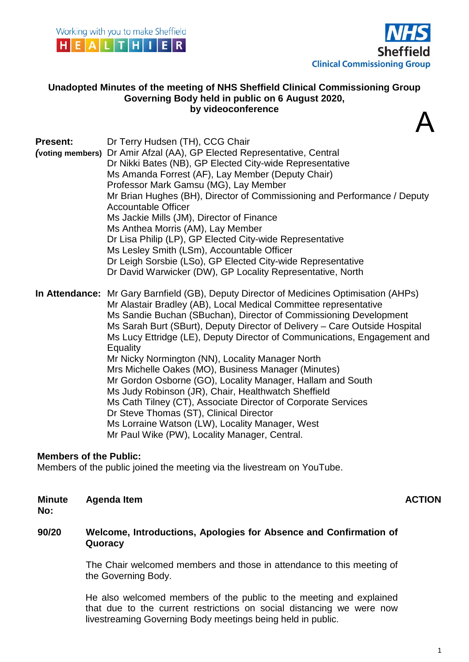





 $\boldsymbol{\Lambda}$ 

#### **Unadopted Minutes of the meeting of NHS Sheffield Clinical Commissioning Group Governing Body held in public on 6 August 2020, by videoconference**

| <b>Present:</b>  | Dr Terry Hudsen (TH), CCG Chair                                                         |
|------------------|-----------------------------------------------------------------------------------------|
| (voting members) | Dr Amir Afzal (AA), GP Elected Representative, Central                                  |
|                  | Dr Nikki Bates (NB), GP Elected City-wide Representative                                |
|                  | Ms Amanda Forrest (AF), Lay Member (Deputy Chair)                                       |
|                  | Professor Mark Gamsu (MG), Lay Member                                                   |
|                  | Mr Brian Hughes (BH), Director of Commissioning and Performance / Deputy                |
|                  | <b>Accountable Officer</b>                                                              |
|                  | Ms Jackie Mills (JM), Director of Finance                                               |
|                  | Ms Anthea Morris (AM), Lay Member                                                       |
|                  | Dr Lisa Philip (LP), GP Elected City-wide Representative                                |
|                  | Ms Lesley Smith (LSm), Accountable Officer                                              |
|                  | Dr Leigh Sorsbie (LSo), GP Elected City-wide Representative                             |
|                  | Dr David Warwicker (DW), GP Locality Representative, North                              |
|                  | In Attendance: Mr Gary Barnfield (GB), Deputy Director of Medicines Optimisation (AHPs) |
|                  | Mr Alastair Bradley (AB), Local Medical Committee representative                        |
|                  | Ms Sandie Buchan (SBuchan), Director of Commissioning Development                       |
|                  | Ms Sarah Burt (SBurt), Deputy Director of Delivery – Care Outside Hospital              |
|                  | Ms Lucy Ettridge (LE), Deputy Director of Communications, Engagement and                |
|                  | Equality                                                                                |
|                  | Mr Nicky Normington (NN), Locality Manager North                                        |
|                  | Mrs Michelle Oakes (MO), Business Manager (Minutes)                                     |
|                  | Mr Gordon Osborne (GO), Locality Manager, Hallam and South                              |
|                  | Ms Judy Robinson (JR), Chair, Healthwatch Sheffield                                     |
|                  | Ms Cath Tilney (CT), Associate Director of Corporate Services                           |
|                  | Dr Steve Thomas (ST), Clinical Director                                                 |
|                  | Ms Lorraine Watson (LW), Locality Manager, West                                         |
|                  | Mr Paul Wike (PW), Locality Manager, Central.                                           |

#### **Members of the Public:**

Members of the public joined the meeting via the livestream on YouTube.

|              | Minute Agenda Item | <b>ACTION</b> |
|--------------|--------------------|---------------|
| <b>N</b> IA. |                    |               |

**No:**

#### **90/20 Welcome, Introductions, Apologies for Absence and Confirmation of Quoracy**

The Chair welcomed members and those in attendance to this meeting of the Governing Body.

He also welcomed members of the public to the meeting and explained that due to the current restrictions on social distancing we were now livestreaming Governing Body meetings being held in public.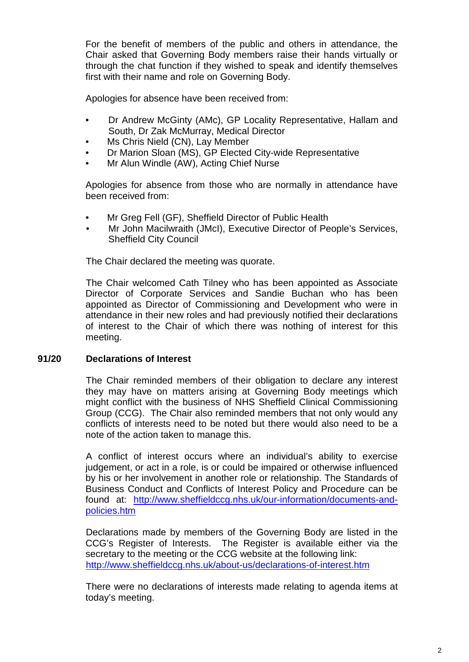For the benefit of members of the public and others in attendance, the Chair asked that Governing Body members raise their hands virtually or through the chat function if they wished to speak and identify themselves first with their name and role on Governing Body.

Apologies for absence have been received from:

- Dr Andrew McGinty (AMc), GP Locality Representative, Hallam and South, Dr Zak McMurray, Medical Director
- Ms Chris Nield (CN), Lay Member
- Dr Marion Sloan (MS), GP Elected City-wide Representative
- Mr Alun Windle (AW), Acting Chief Nurse

Apologies for absence from those who are normally in attendance have been received from:

- Mr Greg Fell (GF), Sheffield Director of Public Health
- Mr John Macilwraith (JMcI), Executive Director of People's Services, Sheffield City Council

The Chair declared the meeting was quorate.

The Chair welcomed Cath Tilney who has been appointed as Associate Director of Corporate Services and Sandie Buchan who has been appointed as Director of Commissioning and Development who were in attendance in their new roles and had previously notified their declarations of interest to the Chair of which there was nothing of interest for this meeting.

### **91/20 Declarations of Interest**

The Chair reminded members of their obligation to declare any interest they may have on matters arising at Governing Body meetings which might conflict with the business of NHS Sheffield Clinical Commissioning Group (CCG). The Chair also reminded members that not only would any conflicts of interests need to be noted but there would also need to be a note of the action taken to manage this.

A conflict of interest occurs where an individual's ability to exercise judgement, or act in a role, is or could be impaired or otherwise influenced by his or her involvement in another role or relationship. The Standards of Business Conduct and Conflicts of Interest Policy and Procedure can be found at: [http://www.sheffieldccg.nhs.uk/our-information/documents-and](http://www.sheffieldccg.nhs.uk/our-information/documents-and-policies.htm)[policies.htm](http://www.sheffieldccg.nhs.uk/our-information/documents-and-policies.htm)

Declarations made by members of the Governing Body are listed in the CCG's Register of Interests. The Register is available either via the secretary to the meeting or the CCG website at the following link: <http://www.sheffieldccg.nhs.uk/about-us/declarations-of-interest.htm>

There were no declarations of interests made relating to agenda items at today's meeting.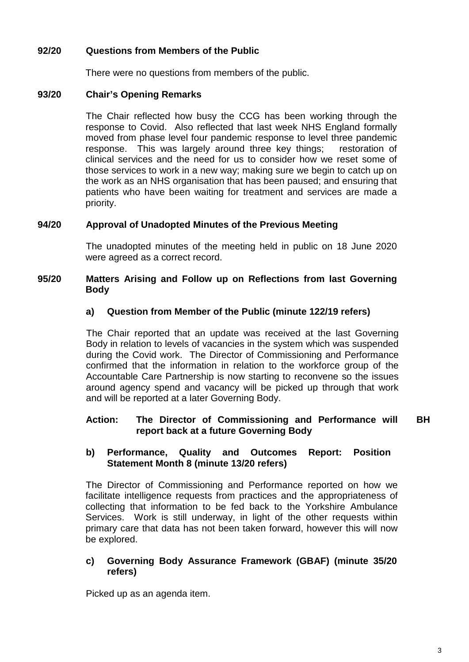## **92/20 Questions from Members of the Public**

There were no questions from members of the public.

#### **93/20 Chair's Opening Remarks**

The Chair reflected how busy the CCG has been working through the response to Covid. Also reflected that last week NHS England formally moved from phase level four pandemic response to level three pandemic response. This was largely around three key things; restoration of clinical services and the need for us to consider how we reset some of those services to work in a new way; making sure we begin to catch up on the work as an NHS organisation that has been paused; and ensuring that patients who have been waiting for treatment and services are made a priority.

#### **94/20 Approval of Unadopted Minutes of the Previous Meeting**

The unadopted minutes of the meeting held in public on 18 June 2020 were agreed as a correct record.

#### **95/20 Matters Arising and Follow up on Reflections from last Governing Body**

#### **a) Question from Member of the Public (minute 122/19 refers)**

The Chair reported that an update was received at the last Governing Body in relation to levels of vacancies in the system which was suspended during the Covid work. The Director of Commissioning and Performance confirmed that the information in relation to the workforce group of the Accountable Care Partnership is now starting to reconvene so the issues around agency spend and vacancy will be picked up through that work and will be reported at a later Governing Body.

#### **Action: The Director of Commissioning and Performance will report back at a future Governing Body BH**

#### **b) Performance, Quality and Outcomes Report: Position Statement Month 8 (minute 13/20 refers)**

The Director of Commissioning and Performance reported on how we facilitate intelligence requests from practices and the appropriateness of collecting that information to be fed back to the Yorkshire Ambulance Services. Work is still underway, in light of the other requests within primary care that data has not been taken forward, however this will now be explored.

#### **c) Governing Body Assurance Framework (GBAF) (minute 35/20 refers)**

Picked up as an agenda item.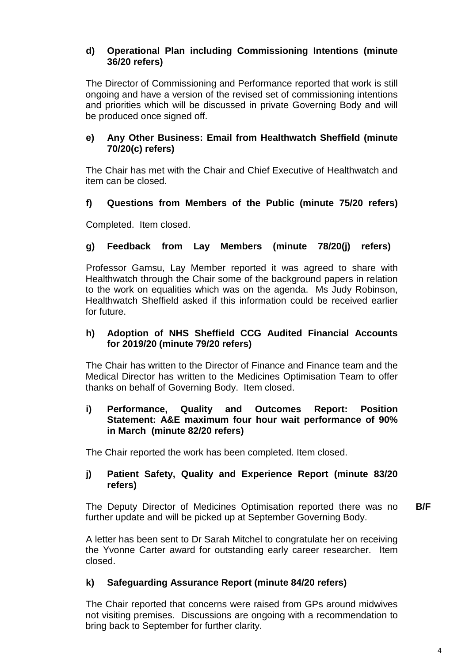## **d) Operational Plan including Commissioning Intentions (minute 36/20 refers)**

The Director of Commissioning and Performance reported that work is still ongoing and have a version of the revised set of commissioning intentions and priorities which will be discussed in private Governing Body and will be produced once signed off.

## **e) Any Other Business: Email from Healthwatch Sheffield (minute 70/20(c) refers)**

The Chair has met with the Chair and Chief Executive of Healthwatch and item can be closed.

# **f) Questions from Members of the Public (minute 75/20 refers)**

Completed. Item closed.

# **g) Feedback from Lay Members (minute 78/20(j) refers)**

Professor Gamsu, Lay Member reported it was agreed to share with Healthwatch through the Chair some of the background papers in relation to the work on equalities which was on the agenda. Ms Judy Robinson, Healthwatch Sheffield asked if this information could be received earlier for future.

## **h) Adoption of NHS Sheffield CCG Audited Financial Accounts for 2019/20 (minute 79/20 refers)**

The Chair has written to the Director of Finance and Finance team and the Medical Director has written to the Medicines Optimisation Team to offer thanks on behalf of Governing Body. Item closed.

#### **i) Performance, Quality and Outcomes Report: Position Statement: A&E maximum four hour wait performance of 90% in March (minute 82/20 refers)**

The Chair reported the work has been completed. Item closed.

## **j) Patient Safety, Quality and Experience Report (minute 83/20 refers)**

The Deputy Director of Medicines Optimisation reported there was no further update and will be picked up at September Governing Body. **B/F**

A letter has been sent to Dr Sarah Mitchel to congratulate her on receiving the Yvonne Carter award for outstanding early career researcher. Item closed.

# **k) Safeguarding Assurance Report (minute 84/20 refers)**

The Chair reported that concerns were raised from GPs around midwives not visiting premises. Discussions are ongoing with a recommendation to bring back to September for further clarity.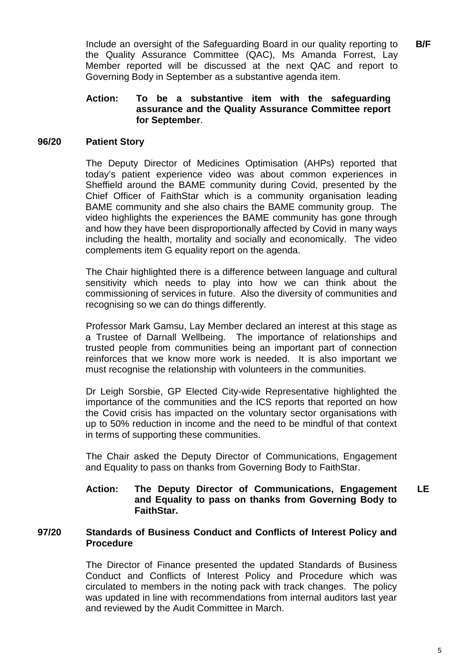Include an oversight of the Safeguarding Board in our quality reporting to the Quality Assurance Committee (QAC), Ms Amanda Forrest, Lay Member reported will be discussed at the next QAC and report to Governing Body in September as a substantive agenda item. **B/F**

#### **Action: To be a substantive item with the safeguarding assurance and the Quality Assurance Committee report for September**.

#### **96/20 Patient Story**

The Deputy Director of Medicines Optimisation (AHPs) reported that today's patient experience video was about common experiences in Sheffield around the BAME community during Covid, presented by the Chief Officer of FaithStar which is a community organisation leading BAME community and she also chairs the BAME community group. The video highlights the experiences the BAME community has gone through and how they have been disproportionally affected by Covid in many ways including the health, mortality and socially and economically. The video complements item G equality report on the agenda.

The Chair highlighted there is a difference between language and cultural sensitivity which needs to play into how we can think about the commissioning of services in future. Also the diversity of communities and recognising so we can do things differently.

Professor Mark Gamsu, Lay Member declared an interest at this stage as a Trustee of Darnall Wellbeing. The importance of relationships and trusted people from communities being an important part of connection reinforces that we know more work is needed. It is also important we must recognise the relationship with volunteers in the communities.

Dr Leigh Sorsbie, GP Elected City-wide Representative highlighted the importance of the communities and the ICS reports that reported on how the Covid crisis has impacted on the voluntary sector organisations with up to 50% reduction in income and the need to be mindful of that context in terms of supporting these communities.

The Chair asked the Deputy Director of Communications, Engagement and Equality to pass on thanks from Governing Body to FaithStar.

#### **Action: The Deputy Director of Communications, Engagement and Equality to pass on thanks from Governing Body to FaithStar. LE**

#### **97/20 Standards of Business Conduct and Conflicts of Interest Policy and Procedure**

The Director of Finance presented the updated Standards of Business Conduct and Conflicts of Interest Policy and Procedure which was circulated to members in the noting pack with track changes. The policy was updated in line with recommendations from internal auditors last year and reviewed by the Audit Committee in March.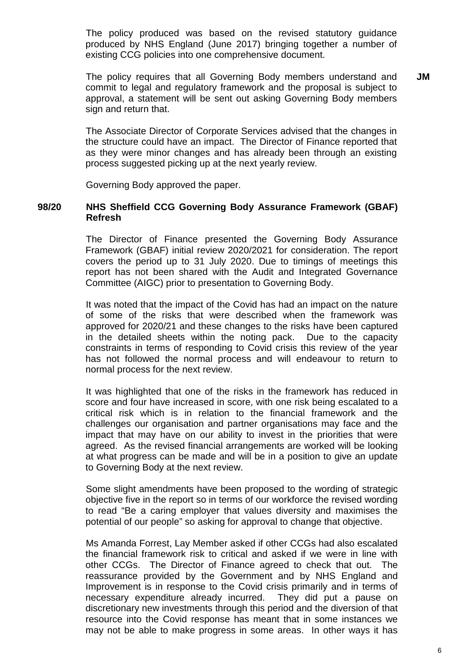The policy produced was based on the revised statutory guidance produced by NHS England (June 2017) bringing together a number of existing CCG policies into one comprehensive document.

The policy requires that all Governing Body members understand and commit to legal and regulatory framework and the proposal is subject to approval, a statement will be sent out asking Governing Body members sign and return that. **JM**

The Associate Director of Corporate Services advised that the changes in the structure could have an impact. The Director of Finance reported that as they were minor changes and has already been through an existing process suggested picking up at the next yearly review.

Governing Body approved the paper.

#### **98/20 NHS Sheffield CCG Governing Body Assurance Framework (GBAF) Refresh**

The Director of Finance presented the Governing Body Assurance Framework (GBAF) initial review 2020/2021 for consideration. The report covers the period up to 31 July 2020. Due to timings of meetings this report has not been shared with the Audit and Integrated Governance Committee (AIGC) prior to presentation to Governing Body.

It was noted that the impact of the Covid has had an impact on the nature of some of the risks that were described when the framework was approved for 2020/21 and these changes to the risks have been captured in the detailed sheets within the noting pack. Due to the capacity constraints in terms of responding to Covid crisis this review of the year has not followed the normal process and will endeavour to return to normal process for the next review.

It was highlighted that one of the risks in the framework has reduced in score and four have increased in score, with one risk being escalated to a critical risk which is in relation to the financial framework and the challenges our organisation and partner organisations may face and the impact that may have on our ability to invest in the priorities that were agreed. As the revised financial arrangements are worked will be looking at what progress can be made and will be in a position to give an update to Governing Body at the next review.

Some slight amendments have been proposed to the wording of strategic objective five in the report so in terms of our workforce the revised wording to read "Be a caring employer that values diversity and maximises the potential of our people" so asking for approval to change that objective.

Ms Amanda Forrest, Lay Member asked if other CCGs had also escalated the financial framework risk to critical and asked if we were in line with other CCGs. The Director of Finance agreed to check that out. The reassurance provided by the Government and by NHS England and Improvement is in response to the Covid crisis primarily and in terms of necessary expenditure already incurred. They did put a pause on discretionary new investments through this period and the diversion of that resource into the Covid response has meant that in some instances we may not be able to make progress in some areas. In other ways it has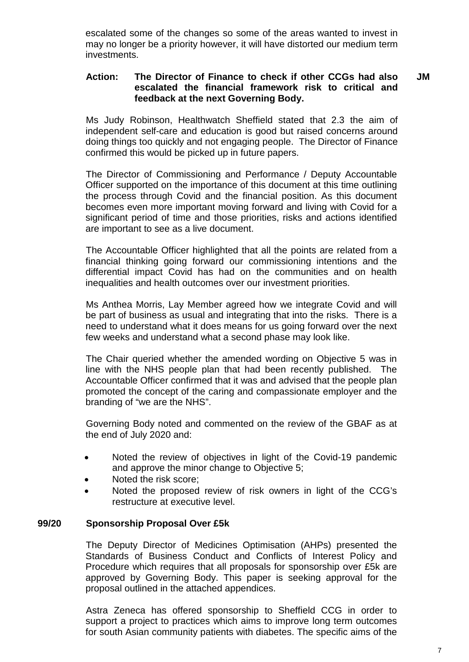escalated some of the changes so some of the areas wanted to invest in may no longer be a priority however, it will have distorted our medium term investments.

#### **Action: The Director of Finance to check if other CCGs had also escalated the financial framework risk to critical and feedback at the next Governing Body. JM**

Ms Judy Robinson, Healthwatch Sheffield stated that 2.3 the aim of independent self-care and education is good but raised concerns around doing things too quickly and not engaging people. The Director of Finance confirmed this would be picked up in future papers.

The Director of Commissioning and Performance / Deputy Accountable Officer supported on the importance of this document at this time outlining the process through Covid and the financial position. As this document becomes even more important moving forward and living with Covid for a significant period of time and those priorities, risks and actions identified are important to see as a live document.

The Accountable Officer highlighted that all the points are related from a financial thinking going forward our commissioning intentions and the differential impact Covid has had on the communities and on health inequalities and health outcomes over our investment priorities.

Ms Anthea Morris, Lay Member agreed how we integrate Covid and will be part of business as usual and integrating that into the risks. There is a need to understand what it does means for us going forward over the next few weeks and understand what a second phase may look like.

The Chair queried whether the amended wording on Objective 5 was in line with the NHS people plan that had been recently published. The Accountable Officer confirmed that it was and advised that the people plan promoted the concept of the caring and compassionate employer and the branding of "we are the NHS".

Governing Body noted and commented on the review of the GBAF as at the end of July 2020 and:

- Noted the review of objectives in light of the Covid-19 pandemic and approve the minor change to Objective 5;
- Noted the risk score:
- Noted the proposed review of risk owners in light of the CCG's restructure at executive level.

#### **99/20 Sponsorship Proposal Over £5k**

The Deputy Director of Medicines Optimisation (AHPs) presented the Standards of Business Conduct and Conflicts of Interest Policy and Procedure which requires that all proposals for sponsorship over £5k are approved by Governing Body. This paper is seeking approval for the proposal outlined in the attached appendices.

Astra Zeneca has offered sponsorship to Sheffield CCG in order to support a project to practices which aims to improve long term outcomes for south Asian community patients with diabetes. The specific aims of the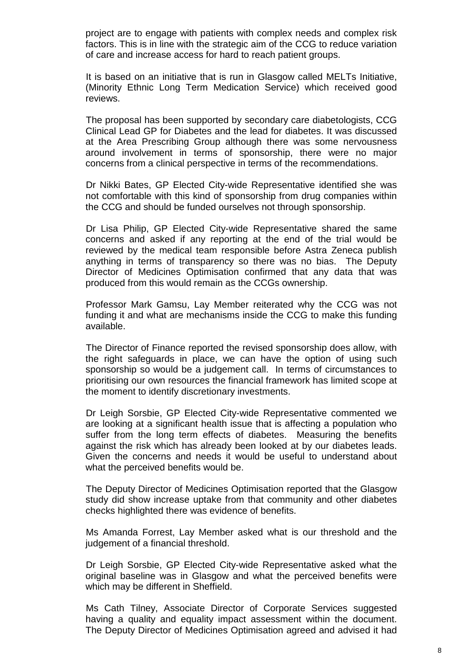project are to engage with patients with complex needs and complex risk factors. This is in line with the strategic aim of the CCG to reduce variation of care and increase access for hard to reach patient groups.

It is based on an initiative that is run in Glasgow called MELTs Initiative, (Minority Ethnic Long Term Medication Service) which received good reviews.

The proposal has been supported by secondary care diabetologists, CCG Clinical Lead GP for Diabetes and the lead for diabetes. It was discussed at the Area Prescribing Group although there was some nervousness around involvement in terms of sponsorship, there were no major concerns from a clinical perspective in terms of the recommendations.

Dr Nikki Bates, GP Elected City-wide Representative identified she was not comfortable with this kind of sponsorship from drug companies within the CCG and should be funded ourselves not through sponsorship.

Dr Lisa Philip, GP Elected City-wide Representative shared the same concerns and asked if any reporting at the end of the trial would be reviewed by the medical team responsible before Astra Zeneca publish anything in terms of transparency so there was no bias. The Deputy Director of Medicines Optimisation confirmed that any data that was produced from this would remain as the CCGs ownership.

Professor Mark Gamsu, Lay Member reiterated why the CCG was not funding it and what are mechanisms inside the CCG to make this funding available.

The Director of Finance reported the revised sponsorship does allow, with the right safeguards in place, we can have the option of using such sponsorship so would be a judgement call. In terms of circumstances to prioritising our own resources the financial framework has limited scope at the moment to identify discretionary investments.

Dr Leigh Sorsbie, GP Elected City-wide Representative commented we are looking at a significant health issue that is affecting a population who suffer from the long term effects of diabetes. Measuring the benefits against the risk which has already been looked at by our diabetes leads. Given the concerns and needs it would be useful to understand about what the perceived benefits would be.

The Deputy Director of Medicines Optimisation reported that the Glasgow study did show increase uptake from that community and other diabetes checks highlighted there was evidence of benefits.

Ms Amanda Forrest, Lay Member asked what is our threshold and the judgement of a financial threshold.

Dr Leigh Sorsbie, GP Elected City-wide Representative asked what the original baseline was in Glasgow and what the perceived benefits were which may be different in Sheffield.

Ms Cath Tilney, Associate Director of Corporate Services suggested having a quality and equality impact assessment within the document. The Deputy Director of Medicines Optimisation agreed and advised it had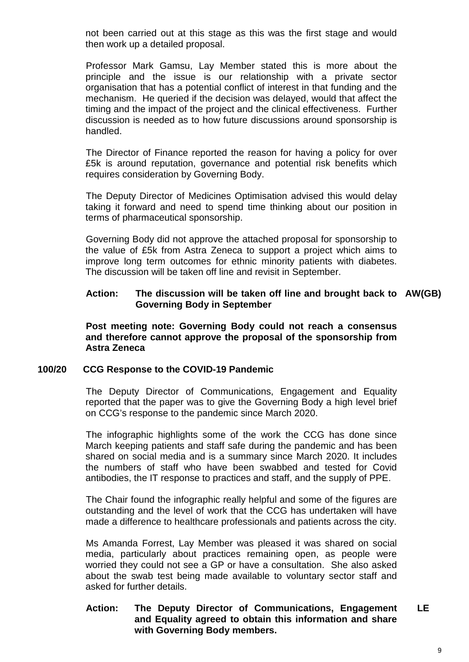not been carried out at this stage as this was the first stage and would then work up a detailed proposal.

Professor Mark Gamsu, Lay Member stated this is more about the principle and the issue is our relationship with a private sector organisation that has a potential conflict of interest in that funding and the mechanism. He queried if the decision was delayed, would that affect the timing and the impact of the project and the clinical effectiveness. Further discussion is needed as to how future discussions around sponsorship is handled.

The Director of Finance reported the reason for having a policy for over £5k is around reputation, governance and potential risk benefits which requires consideration by Governing Body.

The Deputy Director of Medicines Optimisation advised this would delay taking it forward and need to spend time thinking about our position in terms of pharmaceutical sponsorship.

Governing Body did not approve the attached proposal for sponsorship to the value of £5k from Astra Zeneca to support a project which aims to improve long term outcomes for ethnic minority patients with diabetes. The discussion will be taken off line and revisit in September.

#### **Action: The discussion will be taken off line and brought back to AW(GB) Governing Body in September**

**Post meeting note: Governing Body could not reach a consensus and therefore cannot approve the proposal of the sponsorship from Astra Zeneca**

#### **100/20 CCG Response to the COVID-19 Pandemic**

The Deputy Director of Communications, Engagement and Equality reported that the paper was to give the Governing Body a high level brief on CCG's response to the pandemic since March 2020.

The infographic highlights some of the work the CCG has done since March keeping patients and staff safe during the pandemic and has been shared on social media and is a summary since March 2020. It includes the numbers of staff who have been swabbed and tested for Covid antibodies, the IT response to practices and staff, and the supply of PPE.

The Chair found the infographic really helpful and some of the figures are outstanding and the level of work that the CCG has undertaken will have made a difference to healthcare professionals and patients across the city.

Ms Amanda Forrest, Lay Member was pleased it was shared on social media, particularly about practices remaining open, as people were worried they could not see a GP or have a consultation. She also asked about the swab test being made available to voluntary sector staff and asked for further details.

#### **Action: The Deputy Director of Communications, Engagement and Equality agreed to obtain this information and share with Governing Body members. LE**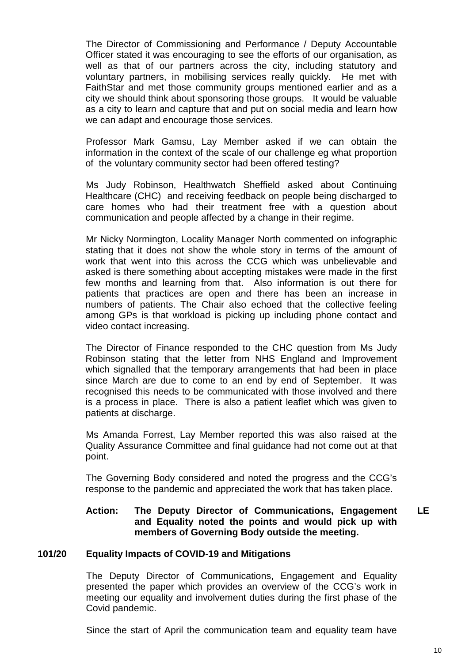The Director of Commissioning and Performance / Deputy Accountable Officer stated it was encouraging to see the efforts of our organisation, as well as that of our partners across the city, including statutory and voluntary partners, in mobilising services really quickly. He met with FaithStar and met those community groups mentioned earlier and as a city we should think about sponsoring those groups. It would be valuable as a city to learn and capture that and put on social media and learn how we can adapt and encourage those services.

Professor Mark Gamsu, Lay Member asked if we can obtain the information in the context of the scale of our challenge eg what proportion of the voluntary community sector had been offered testing?

Ms Judy Robinson, Healthwatch Sheffield asked about Continuing Healthcare (CHC) and receiving feedback on people being discharged to care homes who had their treatment free with a question about communication and people affected by a change in their regime.

Mr Nicky Normington, Locality Manager North commented on infographic stating that it does not show the whole story in terms of the amount of work that went into this across the CCG which was unbelievable and asked is there something about accepting mistakes were made in the first few months and learning from that. Also information is out there for patients that practices are open and there has been an increase in numbers of patients. The Chair also echoed that the collective feeling among GPs is that workload is picking up including phone contact and video contact increasing.

The Director of Finance responded to the CHC question from Ms Judy Robinson stating that the letter from NHS England and Improvement which signalled that the temporary arrangements that had been in place since March are due to come to an end by end of September. It was recognised this needs to be communicated with those involved and there is a process in place. There is also a patient leaflet which was given to patients at discharge.

Ms Amanda Forrest, Lay Member reported this was also raised at the Quality Assurance Committee and final guidance had not come out at that point.

The Governing Body considered and noted the progress and the CCG's response to the pandemic and appreciated the work that has taken place.

#### **Action: The Deputy Director of Communications, Engagement and Equality noted the points and would pick up with members of Governing Body outside the meeting. LE**

#### **101/20 Equality Impacts of COVID-19 and Mitigations**

The Deputy Director of Communications, Engagement and Equality presented the paper which provides an overview of the CCG's work in meeting our equality and involvement duties during the first phase of the Covid pandemic.

Since the start of April the communication team and equality team have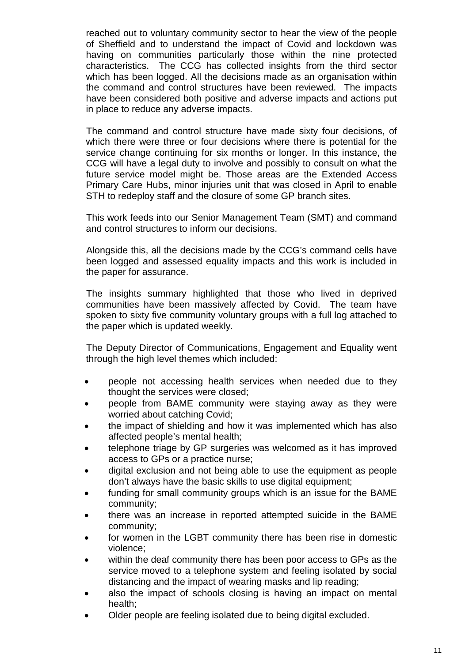reached out to voluntary community sector to hear the view of the people of Sheffield and to understand the impact of Covid and lockdown was having on communities particularly those within the nine protected characteristics. The CCG has collected insights from the third sector which has been logged. All the decisions made as an organisation within the command and control structures have been reviewed. The impacts have been considered both positive and adverse impacts and actions put in place to reduce any adverse impacts.

The command and control structure have made sixty four decisions, of which there were three or four decisions where there is potential for the service change continuing for six months or longer. In this instance, the CCG will have a legal duty to involve and possibly to consult on what the future service model might be. Those areas are the Extended Access Primary Care Hubs, minor injuries unit that was closed in April to enable STH to redeploy staff and the closure of some GP branch sites.

This work feeds into our Senior Management Team (SMT) and command and control structures to inform our decisions.

Alongside this, all the decisions made by the CCG's command cells have been logged and assessed equality impacts and this work is included in the paper for assurance.

The insights summary highlighted that those who lived in deprived communities have been massively affected by Covid. The team have spoken to sixty five community voluntary groups with a full log attached to the paper which is updated weekly.

The Deputy Director of Communications, Engagement and Equality went through the high level themes which included:

- people not accessing health services when needed due to they thought the services were closed;
- people from BAME community were staying away as they were worried about catching Covid;
- the impact of shielding and how it was implemented which has also affected people's mental health;
- telephone triage by GP surgeries was welcomed as it has improved access to GPs or a practice nurse;
- digital exclusion and not being able to use the equipment as people don't always have the basic skills to use digital equipment;
- funding for small community groups which is an issue for the BAME community;
- there was an increase in reported attempted suicide in the BAME community;
- for women in the LGBT community there has been rise in domestic violence;
- within the deaf community there has been poor access to GPs as the service moved to a telephone system and feeling isolated by social distancing and the impact of wearing masks and lip reading;
- also the impact of schools closing is having an impact on mental health;
- Older people are feeling isolated due to being digital excluded.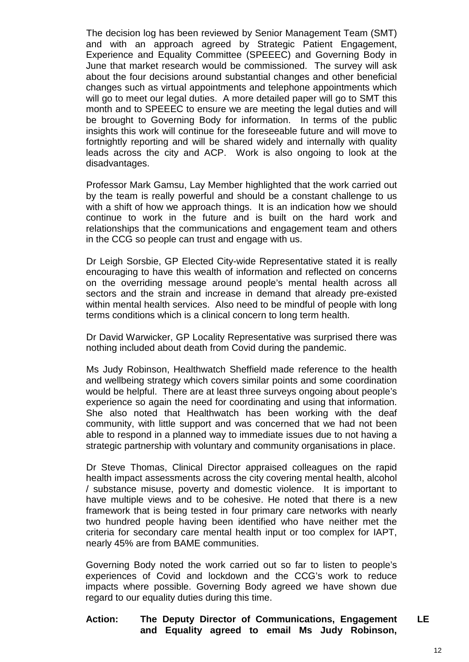The decision log has been reviewed by Senior Management Team (SMT) and with an approach agreed by Strategic Patient Engagement, Experience and Equality Committee (SPEEEC) and Governing Body in June that market research would be commissioned. The survey will ask about the four decisions around substantial changes and other beneficial changes such as virtual appointments and telephone appointments which will go to meet our legal duties. A more detailed paper will go to SMT this month and to SPEEEC to ensure we are meeting the legal duties and will be brought to Governing Body for information. In terms of the public insights this work will continue for the foreseeable future and will move to fortnightly reporting and will be shared widely and internally with quality leads across the city and ACP. Work is also ongoing to look at the disadvantages.

Professor Mark Gamsu, Lay Member highlighted that the work carried out by the team is really powerful and should be a constant challenge to us with a shift of how we approach things. It is an indication how we should continue to work in the future and is built on the hard work and relationships that the communications and engagement team and others in the CCG so people can trust and engage with us.

Dr Leigh Sorsbie, GP Elected City-wide Representative stated it is really encouraging to have this wealth of information and reflected on concerns on the overriding message around people's mental health across all sectors and the strain and increase in demand that already pre-existed within mental health services. Also need to be mindful of people with long terms conditions which is a clinical concern to long term health.

Dr David Warwicker, GP Locality Representative was surprised there was nothing included about death from Covid during the pandemic.

Ms Judy Robinson, Healthwatch Sheffield made reference to the health and wellbeing strategy which covers similar points and some coordination would be helpful. There are at least three surveys ongoing about people's experience so again the need for coordinating and using that information. She also noted that Healthwatch has been working with the deaf community, with little support and was concerned that we had not been able to respond in a planned way to immediate issues due to not having a strategic partnership with voluntary and community organisations in place.

Dr Steve Thomas, Clinical Director appraised colleagues on the rapid health impact assessments across the city covering mental health, alcohol / substance misuse, poverty and domestic violence. It is important to have multiple views and to be cohesive. He noted that there is a new framework that is being tested in four primary care networks with nearly two hundred people having been identified who have neither met the criteria for secondary care mental health input or too complex for IAPT, nearly 45% are from BAME communities.

Governing Body noted the work carried out so far to listen to people's experiences of Covid and lockdown and the CCG's work to reduce impacts where possible. Governing Body agreed we have shown due regard to our equality duties during this time.

#### **Action: The Deputy Director of Communications, Engagement and Equality agreed to email Ms Judy Robinson, LE**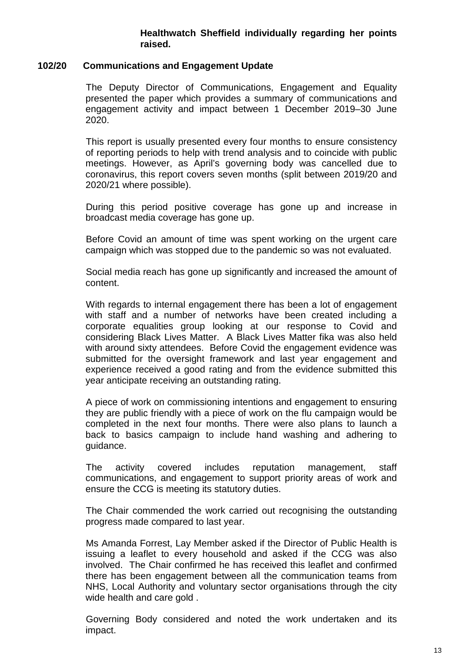#### **Healthwatch Sheffield individually regarding her points raised.**

#### **102/20 Communications and Engagement Update**

The Deputy Director of Communications, Engagement and Equality presented the paper which provides a summary of communications and engagement activity and impact between 1 December 2019–30 June 2020.

This report is usually presented every four months to ensure consistency of reporting periods to help with trend analysis and to coincide with public meetings. However, as April's governing body was cancelled due to coronavirus, this report covers seven months (split between 2019/20 and 2020/21 where possible).

During this period positive coverage has gone up and increase in broadcast media coverage has gone up.

Before Covid an amount of time was spent working on the urgent care campaign which was stopped due to the pandemic so was not evaluated.

Social media reach has gone up significantly and increased the amount of content.

With regards to internal engagement there has been a lot of engagement with staff and a number of networks have been created including a corporate equalities group looking at our response to Covid and considering Black Lives Matter. A Black Lives Matter fika was also held with around sixty attendees. Before Covid the engagement evidence was submitted for the oversight framework and last year engagement and experience received a good rating and from the evidence submitted this year anticipate receiving an outstanding rating.

A piece of work on commissioning intentions and engagement to ensuring they are public friendly with a piece of work on the flu campaign would be completed in the next four months. There were also plans to launch a back to basics campaign to include hand washing and adhering to guidance.

The activity covered includes reputation management, staff communications, and engagement to support priority areas of work and ensure the CCG is meeting its statutory duties.

The Chair commended the work carried out recognising the outstanding progress made compared to last year.

Ms Amanda Forrest, Lay Member asked if the Director of Public Health is issuing a leaflet to every household and asked if the CCG was also involved. The Chair confirmed he has received this leaflet and confirmed there has been engagement between all the communication teams from NHS, Local Authority and voluntary sector organisations through the city wide health and care gold .

Governing Body considered and noted the work undertaken and its impact.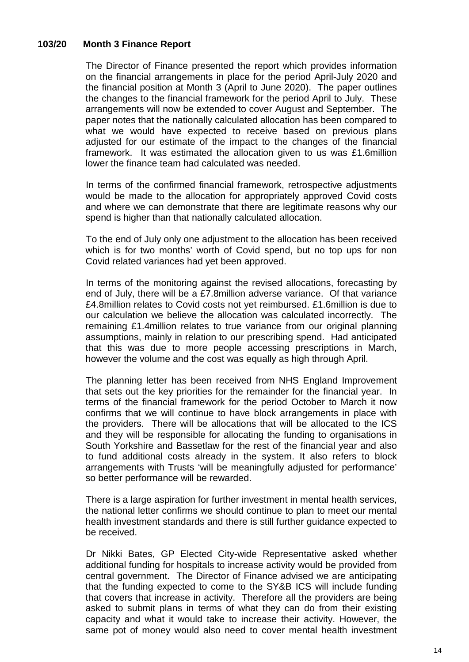### **103/20 Month 3 Finance Report**

The Director of Finance presented the report which provides information on the financial arrangements in place for the period April-July 2020 and the financial position at Month 3 (April to June 2020). The paper outlines the changes to the financial framework for the period April to July. These arrangements will now be extended to cover August and September. The paper notes that the nationally calculated allocation has been compared to what we would have expected to receive based on previous plans adjusted for our estimate of the impact to the changes of the financial framework. It was estimated the allocation given to us was £1.6million lower the finance team had calculated was needed.

In terms of the confirmed financial framework, retrospective adjustments would be made to the allocation for appropriately approved Covid costs and where we can demonstrate that there are legitimate reasons why our spend is higher than that nationally calculated allocation.

To the end of July only one adjustment to the allocation has been received which is for two months' worth of Covid spend, but no top ups for non Covid related variances had yet been approved.

In terms of the monitoring against the revised allocations, forecasting by end of July, there will be a £7.8million adverse variance. Of that variance £4.8million relates to Covid costs not yet reimbursed. £1.6million is due to our calculation we believe the allocation was calculated incorrectly. The remaining £1.4million relates to true variance from our original planning assumptions, mainly in relation to our prescribing spend. Had anticipated that this was due to more people accessing prescriptions in March, however the volume and the cost was equally as high through April.

The planning letter has been received from NHS England Improvement that sets out the key priorities for the remainder for the financial year. In terms of the financial framework for the period October to March it now confirms that we will continue to have block arrangements in place with the providers. There will be allocations that will be allocated to the ICS and they will be responsible for allocating the funding to organisations in South Yorkshire and Bassetlaw for the rest of the financial year and also to fund additional costs already in the system. It also refers to block arrangements with Trusts 'will be meaningfully adjusted for performance' so better performance will be rewarded.

There is a large aspiration for further investment in mental health services, the national letter confirms we should continue to plan to meet our mental health investment standards and there is still further guidance expected to be received.

Dr Nikki Bates, GP Elected City-wide Representative asked whether additional funding for hospitals to increase activity would be provided from central government. The Director of Finance advised we are anticipating that the funding expected to come to the SY&B ICS will include funding that covers that increase in activity. Therefore all the providers are being asked to submit plans in terms of what they can do from their existing capacity and what it would take to increase their activity. However, the same pot of money would also need to cover mental health investment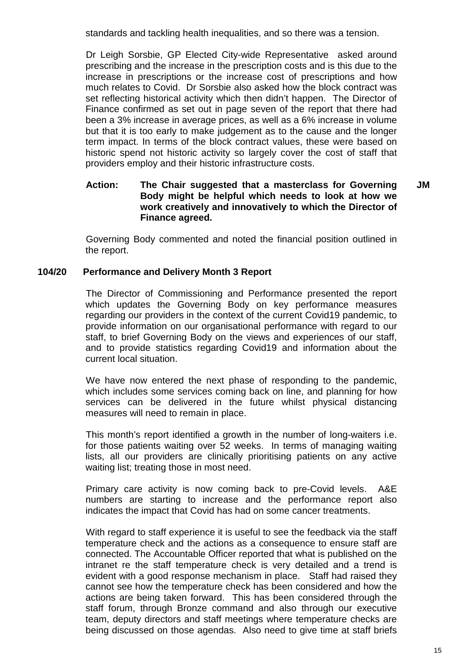standards and tackling health inequalities, and so there was a tension.

Dr Leigh Sorsbie, GP Elected City-wide Representative asked around prescribing and the increase in the prescription costs and is this due to the increase in prescriptions or the increase cost of prescriptions and how much relates to Covid. Dr Sorsbie also asked how the block contract was set reflecting historical activity which then didn't happen. The Director of Finance confirmed as set out in page seven of the report that there had been a 3% increase in average prices, as well as a 6% increase in volume but that it is too early to make judgement as to the cause and the longer term impact. In terms of the block contract values, these were based on historic spend not historic activity so largely cover the cost of staff that providers employ and their historic infrastructure costs.

#### **Action: The Chair suggested that a masterclass for Governing Body might be helpful which needs to look at how we work creatively and innovatively to which the Director of Finance agreed. JM**

Governing Body commented and noted the financial position outlined in the report.

#### **104/20 Performance and Delivery Month 3 Report**

The Director of Commissioning and Performance presented the report which updates the Governing Body on key performance measures regarding our providers in the context of the current Covid19 pandemic, to provide information on our organisational performance with regard to our staff, to brief Governing Body on the views and experiences of our staff, and to provide statistics regarding Covid19 and information about the current local situation.

We have now entered the next phase of responding to the pandemic, which includes some services coming back on line, and planning for how services can be delivered in the future whilst physical distancing measures will need to remain in place.

This month's report identified a growth in the number of long-waiters i.e. for those patients waiting over 52 weeks. In terms of managing waiting lists, all our providers are clinically prioritising patients on any active waiting list; treating those in most need.

Primary care activity is now coming back to pre-Covid levels. A&E numbers are starting to increase and the performance report also indicates the impact that Covid has had on some cancer treatments.

With regard to staff experience it is useful to see the feedback via the staff temperature check and the actions as a consequence to ensure staff are connected. The Accountable Officer reported that what is published on the intranet re the staff temperature check is very detailed and a trend is evident with a good response mechanism in place. Staff had raised they cannot see how the temperature check has been considered and how the actions are being taken forward. This has been considered through the staff forum, through Bronze command and also through our executive team, deputy directors and staff meetings where temperature checks are being discussed on those agendas. Also need to give time at staff briefs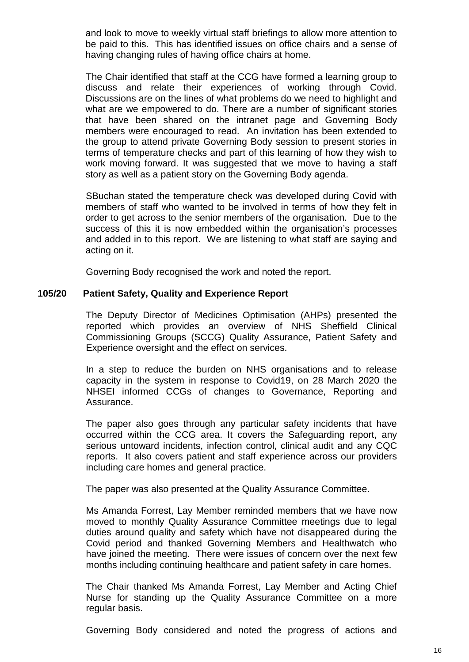and look to move to weekly virtual staff briefings to allow more attention to be paid to this. This has identified issues on office chairs and a sense of having changing rules of having office chairs at home.

The Chair identified that staff at the CCG have formed a learning group to discuss and relate their experiences of working through Covid. Discussions are on the lines of what problems do we need to highlight and what are we empowered to do. There are a number of significant stories that have been shared on the intranet page and Governing Body members were encouraged to read. An invitation has been extended to the group to attend private Governing Body session to present stories in terms of temperature checks and part of this learning of how they wish to work moving forward. It was suggested that we move to having a staff story as well as a patient story on the Governing Body agenda.

SBuchan stated the temperature check was developed during Covid with members of staff who wanted to be involved in terms of how they felt in order to get across to the senior members of the organisation. Due to the success of this it is now embedded within the organisation's processes and added in to this report. We are listening to what staff are saying and acting on it.

Governing Body recognised the work and noted the report.

#### **105/20 Patient Safety, Quality and Experience Report**

The Deputy Director of Medicines Optimisation (AHPs) presented the reported which provides an overview of NHS Sheffield Clinical Commissioning Groups (SCCG) Quality Assurance, Patient Safety and Experience oversight and the effect on services.

In a step to reduce the burden on NHS organisations and to release capacity in the system in response to Covid19, on 28 March 2020 the NHSEI informed CCGs of changes to Governance, Reporting and Assurance.

The paper also goes through any particular safety incidents that have occurred within the CCG area. It covers the Safeguarding report, any serious untoward incidents, infection control, clinical audit and any CQC reports. It also covers patient and staff experience across our providers including care homes and general practice.

The paper was also presented at the Quality Assurance Committee.

Ms Amanda Forrest, Lay Member reminded members that we have now moved to monthly Quality Assurance Committee meetings due to legal duties around quality and safety which have not disappeared during the Covid period and thanked Governing Members and Healthwatch who have joined the meeting. There were issues of concern over the next few months including continuing healthcare and patient safety in care homes.

The Chair thanked Ms Amanda Forrest, Lay Member and Acting Chief Nurse for standing up the Quality Assurance Committee on a more regular basis.

Governing Body considered and noted the progress of actions and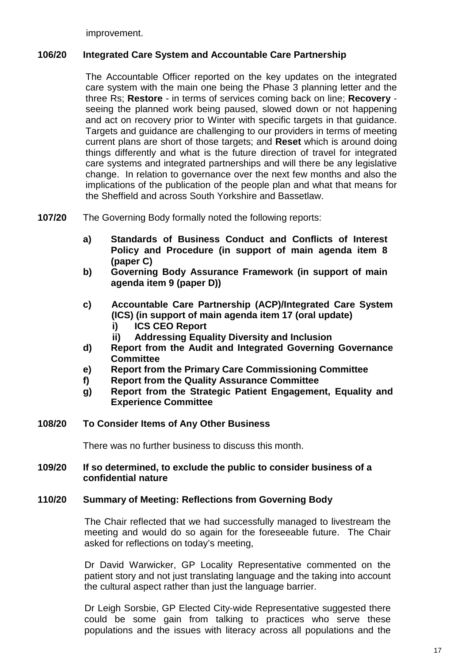improvement.

#### **106/20 Integrated Care System and Accountable Care Partnership**

The Accountable Officer reported on the key updates on the integrated care system with the main one being the Phase 3 planning letter and the three Rs; **Restore** - in terms of services coming back on line; **Recovery** seeing the planned work being paused, slowed down or not happening and act on recovery prior to Winter with specific targets in that guidance. Targets and guidance are challenging to our providers in terms of meeting current plans are short of those targets; and **Reset** which is around doing things differently and what is the future direction of travel for integrated care systems and integrated partnerships and will there be any legislative change. In relation to governance over the next few months and also the implications of the publication of the people plan and what that means for the Sheffield and across South Yorkshire and Bassetlaw.

**107/20** The Governing Body formally noted the following reports:

- **a) Standards of Business Conduct and Conflicts of Interest Policy and Procedure (in support of main agenda item 8 (paper C)**
- **b) Governing Body Assurance Framework (in support of main agenda item 9 (paper D))**
- **c) Accountable Care Partnership (ACP)/Integrated Care System (ICS) (in support of main agenda item 17 (oral update) i) ICS CEO Report** 
	- **ii) Addressing Equality Diversity and Inclusion**
- **d) Report from the Audit and Integrated Governing Governance Committee**
- **e) Report from the Primary Care Commissioning Committee**
- **f) Report from the Quality Assurance Committee**
- **g) Report from the Strategic Patient Engagement, Equality and Experience Committee**

#### **108/20 To Consider Items of Any Other Business**

There was no further business to discuss this month.

#### **109/20 If so determined, to exclude the public to consider business of a confidential nature**

#### **110/20 Summary of Meeting: Reflections from Governing Body**

The Chair reflected that we had successfully managed to livestream the meeting and would do so again for the foreseeable future. The Chair asked for reflections on today's meeting,

Dr David Warwicker, GP Locality Representative commented on the patient story and not just translating language and the taking into account the cultural aspect rather than just the language barrier.

Dr Leigh Sorsbie, GP Elected City-wide Representative suggested there could be some gain from talking to practices who serve these populations and the issues with literacy across all populations and the